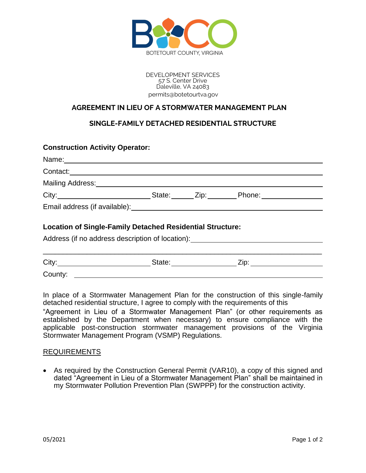

DEVELOPMENT SERVICES 57 S. Center Drive Daleville, VA 24083 permits@botetourtva.gov

## **AGREEMENT IN LIEU OF A STORMWATER MANAGEMENT PLAN**

## **SINGLE-FAMILY DETACHED RESIDENTIAL STRUCTURE**

## **Construction Activity Operator:** Name: Contact: Mailing Address: City: State: Zip: Phone: Email address (if available): **Location of Single-Family Detached Residential Structure:** Address (if no address description of location): \_\_\_\_\_\_\_\_\_\_\_\_\_\_\_\_\_\_\_\_\_\_\_\_\_\_\_\_\_\_\_\_\_\_\_\_\_\_\_\_\_\_\_\_\_\_\_\_\_\_\_\_\_\_\_\_\_\_\_\_\_\_\_\_\_\_\_\_\_\_

| City:   | State. | $\cdots$<br>⊷ |
|---------|--------|---------------|
| County: |        |               |

In place of a Stormwater Management Plan for the construction of this single-family detached residential structure, I agree to comply with the requirements of this

"Agreement in Lieu of a Stormwater Management Plan" (or other requirements as established by the Department when necessary) to ensure compliance with the applicable post-construction stormwater management provisions of the Virginia Stormwater Management Program (VSMP) Regulations.

## REQUIREMENTS

 As required by the Construction General Permit (VAR10), a copy of this signed and dated "Agreement in Lieu of a Stormwater Management Plan" shall be maintained in my Stormwater Pollution Prevention Plan (SWPPP) for the construction activity.